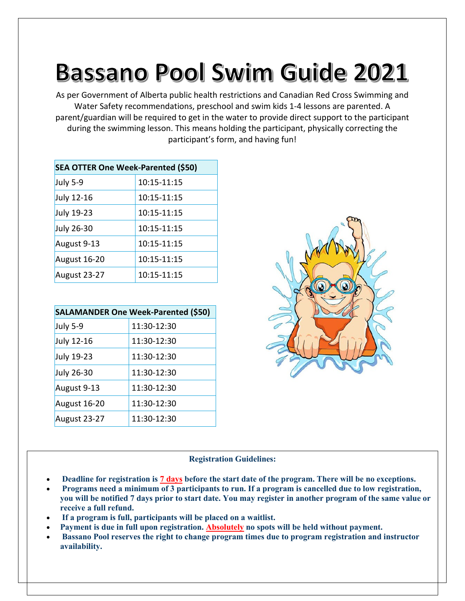## **Bassano Pool Swim Guide 2021**

As per Government of Alberta public health restrictions and Canadian Red Cross Swimming and Water Safety recommendations, preschool and swim kids 1-4 lessons are parented. A parent/guardian will be required to get in the water to provide direct support to the participant during the swimming lesson. This means holding the participant, physically correcting the participant's form, and having fun!

| SEA OTTER One Week-Parented (\$50) |             |
|------------------------------------|-------------|
| July 5-9                           | 10:15-11:15 |
| July 12-16                         | 10:15-11:15 |
| July 19-23                         | 10:15-11:15 |
| July 26-30                         | 10:15-11:15 |
| August 9-13                        | 10:15-11:15 |
| August 16-20                       | 10:15-11:15 |
| August 23-27                       | 10:15-11:15 |

|              | <b>SALAMANDER One Week-Parented (\$50)</b> |
|--------------|--------------------------------------------|
| July 5-9     | 11:30-12:30                                |
| July 12-16   | 11:30-12:30                                |
| July 19-23   | 11:30-12:30                                |
| July 26-30   | 11:30-12:30                                |
| August 9-13  | 11:30-12:30                                |
| August 16-20 | 11:30-12:30                                |
| August 23-27 | 11:30-12:30                                |



## **Registration Guidelines:**

- **Deadline for registration is 7 days before the start date of the program. There will be no exceptions.**
- **Programs need a minimum of 3 participants to run. If a program is cancelled due to low registration, you will be notified 7 days prior to start date. You may register in another program of the same value or receive a full refund.**
- **If a program is full, participants will be placed on a waitlist.**
- **Payment is due in full upon registration. Absolutely no spots will be held without payment.**
- **Bassano Pool reserves the right to change program times due to program registration and instructor availability.**